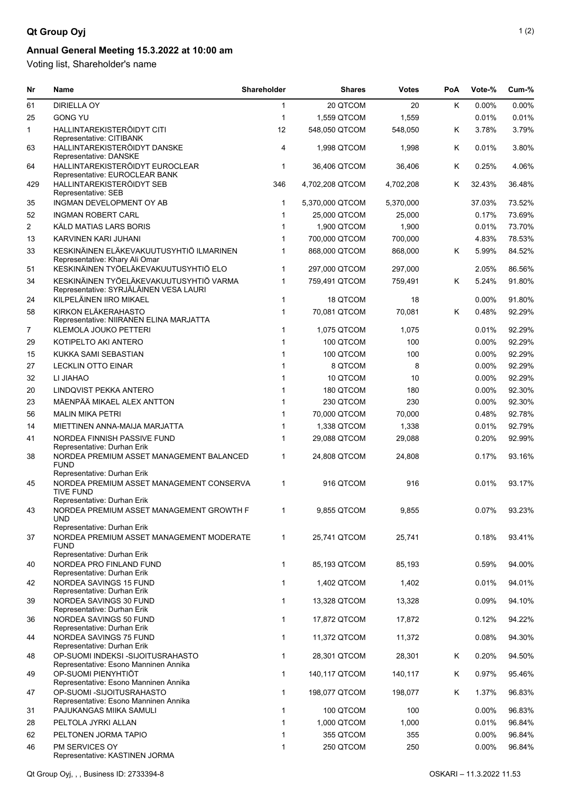## **Qt Group Oyj** 1(2)

## **Annual General Meeting 15.3.2022 at 10:00 am**

Voting list, Shareholder's name

| Nr  | <b>Name</b>                                                                            | Shareholder  | <b>Shares</b>   | <b>Votes</b> | PoA | Vote-%   | Cum-%  |
|-----|----------------------------------------------------------------------------------------|--------------|-----------------|--------------|-----|----------|--------|
| 61  | <b>DIRIELLA OY</b>                                                                     | $\mathbf{1}$ | 20 QTCOM        | 20           | Κ   | 0.00%    | 0.00%  |
| 25  | <b>GONG YU</b>                                                                         | $\mathbf{1}$ | 1,559 QTCOM     | 1,559        |     | 0.01%    | 0.01%  |
| 1   | HALLINTAREKISTERÖIDYT CITI<br>Representative: CITIBANK                                 | 12           | 548,050 QTCOM   | 548,050      | Κ   | 3.78%    | 3.79%  |
| 63  | HALLINTAREKISTERÖIDYT DANSKE<br>Representative: DANSKE                                 | 4            | 1,998 QTCOM     | 1,998        | Κ   | 0.01%    | 3.80%  |
| 64  | HALLINTAREKISTERÖIDYT EUROCLEAR<br>Representative: EUROCLEAR BANK                      | $\mathbf{1}$ | 36,406 QTCOM    | 36,406       | K   | 0.25%    | 4.06%  |
| 429 | HALLINTAREKISTERÖIDYT SEB<br>Representative: SEB                                       | 346          | 4,702,208 QTCOM | 4,702,208    | K   | 32.43%   | 36.48% |
| 35  | INGMAN DEVELOPMENT OY AB                                                               | $\mathbf{1}$ | 5,370,000 QTCOM | 5,370,000    |     | 37.03%   | 73.52% |
| 52  | <b>INGMAN ROBERT CARL</b>                                                              | $\mathbf{1}$ | 25,000 QTCOM    | 25,000       |     | 0.17%    | 73.69% |
| 2   | KÄLD MATIAS LARS BORIS                                                                 | $\mathbf{1}$ | 1,900 QTCOM     | 1,900        |     | 0.01%    | 73.70% |
| 13  | KARVINEN KARI JUHANI                                                                   | $\mathbf{1}$ | 700,000 QTCOM   | 700,000      |     | 4.83%    | 78.53% |
| 33  | KESKINÄINEN ELÄKEVAKUUTUSYHTIÖ ILMARINEN<br>Representative: Khary Ali Omar             | 1            | 868,000 QTCOM   | 868,000      | Κ   | 5.99%    | 84.52% |
| 51  | KESKINÄINEN TYÖELÄKEVAKUUTUSYHTIÖ ELO                                                  | $\mathbf{1}$ | 297,000 QTCOM   | 297,000      |     | 2.05%    | 86.56% |
| 34  | KESKINÄINEN TYÖELÄKEVAKUUTUSYHTIÖ VARMA<br>Representative: SYRJÄLÄINEN VESA LAURI      | 1            | 759,491 QTCOM   | 759,491      | K   | 5.24%    | 91.80% |
| 24  | KILPELÄINEN IIRO MIKAEL                                                                | $\mathbf{1}$ | 18 QTCOM        | 18           |     | $0.00\%$ | 91.80% |
| 58  | KIRKON ELÄKERAHASTO<br>Representative: NIIRANEN ELINA MARJATTA                         | $\mathbf{1}$ | 70,081 QTCOM    | 70,081       | K   | 0.48%    | 92.29% |
| 7   | <b>KLEMOLA JOUKO PETTERI</b>                                                           | $\mathbf{1}$ | 1,075 QTCOM     | 1,075        |     | 0.01%    | 92.29% |
| 29  | KOTIPELTO AKI ANTERO                                                                   | $\mathbf{1}$ | 100 QTCOM       | 100          |     | 0.00%    | 92.29% |
| 15  | KUKKA SAMI SEBASTIAN                                                                   | $\mathbf{1}$ | 100 QTCOM       | 100          |     | 0.00%    | 92.29% |
| 27  | <b>LECKLIN OTTO EINAR</b>                                                              | $\mathbf{1}$ | 8 QTCOM         | 8            |     | $0.00\%$ | 92.29% |
| 32  | LI JIAHAO                                                                              | 1            | 10 QTCOM        | 10           |     | $0.00\%$ | 92.29% |
| 20  | LINDQVIST PEKKA ANTERO                                                                 | 1            | 180 QTCOM       | 180          |     | 0.00%    | 92.30% |
| 23  | MÄENPÄÄ MIKAEL ALEX ANTTON                                                             | $\mathbf{1}$ | 230 QTCOM       | 230          |     | 0.00%    | 92.30% |
| 56  | <b>MALIN MIKA PETRI</b>                                                                | $\mathbf{1}$ | 70,000 QTCOM    | 70,000       |     | 0.48%    | 92.78% |
| 14  | MIETTINEN ANNA-MAIJA MARJATTA                                                          | $\mathbf{1}$ | 1,338 QTCOM     | 1,338        |     | 0.01%    | 92.79% |
| 41  | NORDEA FINNISH PASSIVE FUND<br>Representative: Durhan Erik                             | $\mathbf 1$  | 29,088 QTCOM    | 29,088       |     | 0.20%    | 92.99% |
| 38  | NORDEA PREMIUM ASSET MANAGEMENT BALANCED<br><b>FUND</b><br>Representative: Durhan Erik | 1            | 24,808 QTCOM    | 24,808       |     | 0.17%    | 93.16% |
| 45  | NORDEA PREMIUM ASSET MANAGEMENT CONSERVA<br><b>TIVE FUND</b>                           | 1            | 916 QTCOM       | 916          |     | 0.01%    | 93.17% |
| 43  | Representative: Durhan Erik<br>NORDEA PREMIUM ASSET MANAGEMENT GROWTH F                | $\mathbf{1}$ | 9,855 QTCOM     | 9,855        |     | 0.07%    | 93.23% |
|     | <b>UND</b><br>Representative: Durhan Erik                                              |              |                 |              |     |          |        |
| 37  | NORDEA PREMIUM ASSET MANAGEMENT MODERATE<br><b>FUND</b>                                | $\mathbf 1$  | 25,741 QTCOM    | 25,741       |     | 0.18%    | 93.41% |
|     | Representative: Durhan Erik                                                            |              |                 |              |     |          |        |
| 40  | NORDEA PRO FINLAND FUND<br>Representative: Durhan Erik                                 | $\mathbf{1}$ | 85,193 QTCOM    | 85,193       |     | 0.59%    | 94.00% |
| 42  | NORDEA SAVINGS 15 FUND<br>Representative: Durhan Erik                                  | $\mathbf 1$  | 1,402 QTCOM     | 1,402        |     | 0.01%    | 94.01% |
| 39  | NORDEA SAVINGS 30 FUND<br>Representative: Durhan Erik                                  | $\mathbf{1}$ | 13,328 QTCOM    | 13,328       |     | 0.09%    | 94.10% |
| 36  | NORDEA SAVINGS 50 FUND<br>Representative: Durhan Erik                                  | $\mathbf{1}$ | 17,872 QTCOM    | 17,872       |     | 0.12%    | 94.22% |
| 44  | NORDEA SAVINGS 75 FUND<br>Representative: Durhan Erik                                  | 1            | 11,372 QTCOM    | 11,372       |     | 0.08%    | 94.30% |
| 48  | OP-SUOMI INDEKSI -SIJOITUSRAHASTO<br>Representative: Esono Manninen Annika             | $\mathbf 1$  | 28,301 QTCOM    | 28,301       | Κ   | 0.20%    | 94.50% |
| 49  | OP-SUOMI PIENYHTIÖT<br>Representative: Esono Manninen Annika                           | $\mathbf{1}$ | 140,117 QTCOM   | 140,117      | Κ   | 0.97%    | 95.46% |
| 47  | OP-SUOMI -SIJOITUSRAHASTO<br>Representative: Esono Manninen Annika                     | 1            | 198,077 QTCOM   | 198,077      | Κ   | 1.37%    | 96.83% |
| 31  | PAJUKANGAS MIIKA SAMULI                                                                | $\mathbf{1}$ | 100 QTCOM       | 100          |     | 0.00%    | 96.83% |
| 28  | PELTOLA JYRKI ALLAN                                                                    | $\mathbf{1}$ | 1,000 QTCOM     | 1,000        |     | 0.01%    | 96.84% |
| 62  | PELTONEN JORMA TAPIO                                                                   | $\mathbf{1}$ | 355 QTCOM       | 355          |     | 0.00%    | 96.84% |
| 46  | PM SERVICES OY<br>Representative: KASTINEN JORMA                                       | 1            | 250 QTCOM       | 250          |     | 0.00%    | 96.84% |